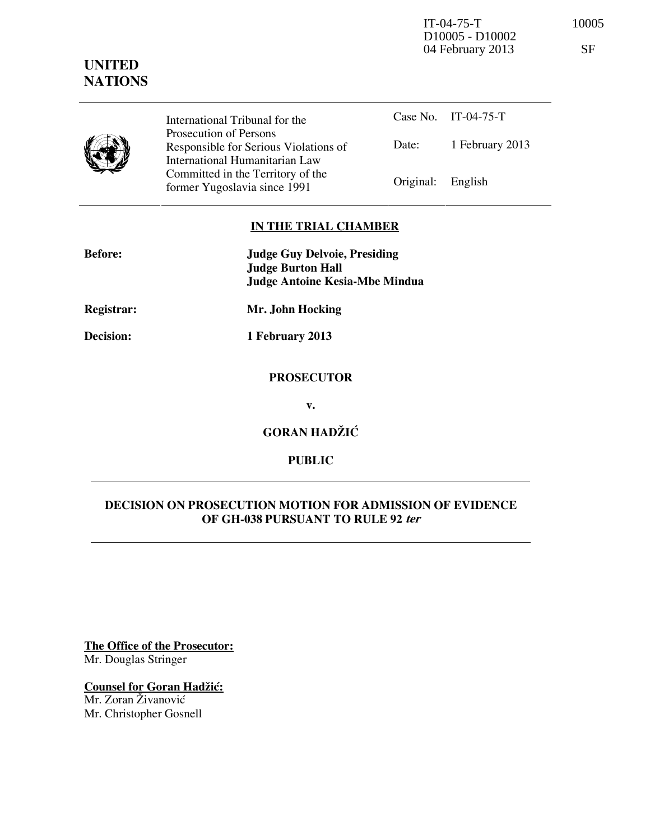IT-04-75-T 10005 D10005 - D10002 04 February 2013 SF

| UNITED         |
|----------------|
| <b>NATIONS</b> |

Case No. IT-04-75-T Date: 1 February 2013 International Tribunal for the Prosecution of Persons Responsible for Serious Violations of International Humanitarian Law Committed in the Territory of the Former Yugoslavia since 1991 Original: English

## **IN THE TRIAL CHAMBER**

| <b>Before:</b>   | <b>Judge Guy Delvoie, Presiding</b><br><b>Judge Burton Hall</b><br><b>Judge Antoine Kesia-Mbe Mindua</b> |
|------------------|----------------------------------------------------------------------------------------------------------|
| Registrar:       | Mr. John Hocking                                                                                         |
| <b>Decision:</b> | 1 February 2013                                                                                          |
|                  | <b>PROSECUTOR</b>                                                                                        |
|                  | v.                                                                                                       |
|                  | <b>GORAN HADŽIĆ</b>                                                                                      |

## **PUBLIC**

## **DECISION ON PROSECUTION MOTION FOR ADMISSION OF EVIDENCE OF GH-038 PURSUANT TO RULE 92 ter**

**The Office of the Prosecutor:** Mr. Douglas Stringer

# **Counsel for Goran Hadžić:**

Mr. Zoran Živanović Mr. Christopher Gosnell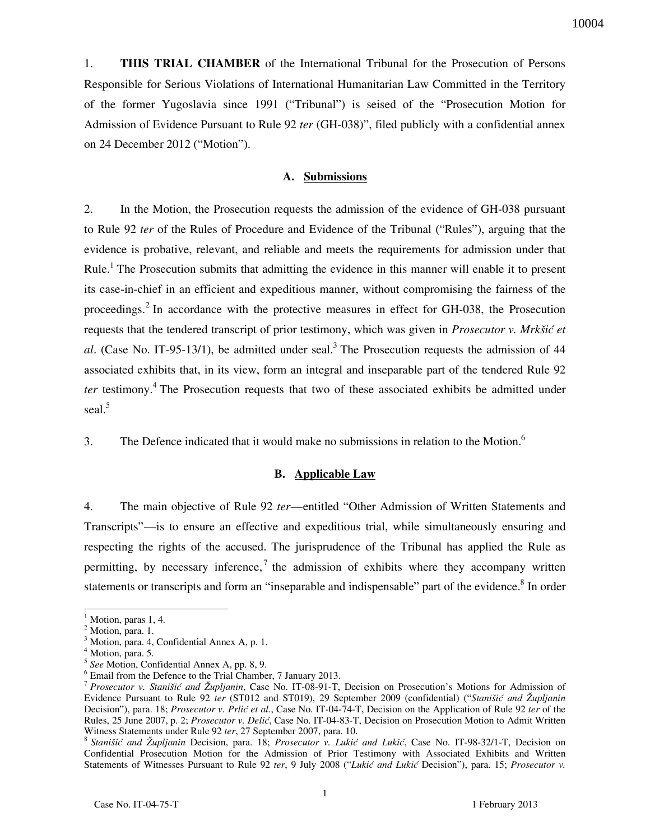1. **THIS TRIAL CHAMBER** of the International Tribunal for the Prosecution of Persons Responsible for Serious Violations of International Humanitarian Law Committed in the Territory of the former Yugoslavia since 1991 ("Tribunal") is seised of the "Prosecution Motion for Admission of Evidence Pursuant to Rule 92 *ter* (GH-038)", filed publicly with a confidential annex on 24 December 2012 ("Motion").

#### **A. Submissions**

2. In the Motion, the Prosecution requests the admission of the evidence of GH-038 pursuant to Rule 92 *ter* of the Rules of Procedure and Evidence of the Tribunal ("Rules"), arguing that the evidence is probative, relevant, and reliable and meets the requirements for admission under that Rule.<sup>1</sup> The Prosecution submits that admitting the evidence in this manner will enable it to present its case-in-chief in an efficient and expeditious manner, without compromising the fairness of the proceedings.<sup>2</sup> In accordance with the protective measures in effect for GH-038, the Prosecution requests that the tendered transcript of prior testimony, which was given in *Prosecutor v. Mrkšić et* al. (Case No. IT-95-13/1), be admitted under seal.<sup>3</sup> The Prosecution requests the admission of 44 associated exhibits that, in its view, form an integral and inseparable part of the tendered Rule 92 ter testimony.<sup>4</sup> The Prosecution requests that two of these associated exhibits be admitted under seal.<sup>5</sup>

3. The Defence indicated that it would make no submissions in relation to the Motion.<sup>6</sup>

#### **B. Applicable Law**

4. The main objective of Rule 92 *ter*—entitled "Other Admission of Written Statements and Transcripts"—is to ensure an effective and expeditious trial, while simultaneously ensuring and respecting the rights of the accused. The jurisprudence of the Tribunal has applied the Rule as permitting, by necessary inference,<sup>7</sup> the admission of exhibits where they accompany written statements or transcripts and form an "inseparable and indispensable" part of the evidence.<sup>8</sup> In order

 $\overline{a}$ 

 $<sup>1</sup>$  Motion, paras 1, 4.</sup>

<sup>&</sup>lt;sup>2</sup> Motion, para. 1.

<sup>3</sup> Motion, para. 4, Confidential Annex A, p. 1.

<sup>4</sup> Motion, para. 5.

<sup>5</sup> *See* Motion, Confidential Annex A, pp. 8, 9.

<sup>6</sup> Email from the Defence to the Trial Chamber, 7 January 2013.

<sup>7</sup> *Prosecutor v. Stanišić and Župljanin*, Case No. IT-08-91-T, Decision on Prosecution's Motions for Admission of Evidence Pursuant to Rule 92 *ter* (ST012 and ST019), 29 September 2009 (confidential) ("*Stanišić and Župljanin* Decision"), para. 18; *Prosecutor v. Prlić et al.*, Case No. IT-04-74-T, Decision on the Application of Rule 92 *ter* of the Rules, 25 June 2007, p. 2; Prosecutor v. Delić, Case No. IT-04-83-T, Decision on Prosecution Motion to Admit Written Witness Statements under Rule 92 *ter*, 27 September 2007, para. 10.

<sup>&</sup>lt;sup>8</sup> Stanišić and Župljanin Decision, para. 18; Prosecutor v. Lukić and Lukić, Case No. IT-98-32/1-T, Decision on Confidential Prosecution Motion for the Admission of Prior Testimony with Associated Exhibits and Written Statements of Witnesses Pursuant to Rule 92 ter, 9 July 2008 ("Lukić and Lukić Decision"), para. 15; *Prosecutor v.*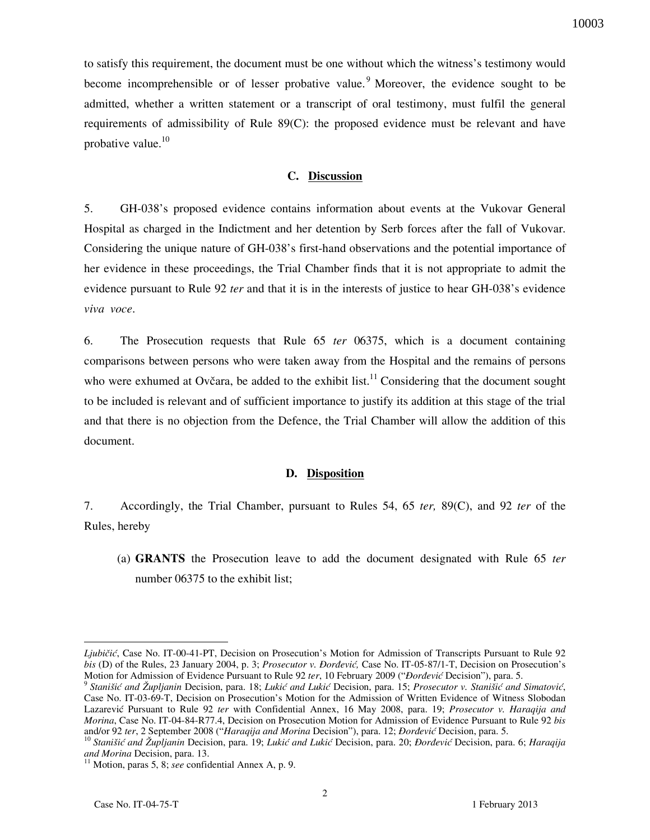to satisfy this requirement, the document must be one without which the witness's testimony would become incomprehensible or of lesser probative value. <sup>9</sup> Moreover, the evidence sought to be admitted, whether a written statement or a transcript of oral testimony, must fulfil the general requirements of admissibility of Rule 89(C): the proposed evidence must be relevant and have probative value. $10$ 

### **C. Discussion**

5. GH-038's proposed evidence contains information about events at the Vukovar General Hospital as charged in the Indictment and her detention by Serb forces after the fall of Vukovar. Considering the unique nature of GH-038's first-hand observations and the potential importance of her evidence in these proceedings, the Trial Chamber finds that it is not appropriate to admit the evidence pursuant to Rule 92 *ter* and that it is in the interests of justice to hear GH-038's evidence *viva voce*.

6. The Prosecution requests that Rule 65 *ter* 06375, which is a document containing comparisons between persons who were taken away from the Hospital and the remains of persons who were exhumed at Ovčara, be added to the exhibit list.<sup>11</sup> Considering that the document sought to be included is relevant and of sufficient importance to justify its addition at this stage of the trial and that there is no objection from the Defence, the Trial Chamber will allow the addition of this document.

#### **D. Disposition**

7. Accordingly, the Trial Chamber, pursuant to Rules 54, 65 *ter,* 89(C), and 92 *ter* of the Rules, hereby

(a) **GRANTS** the Prosecution leave to add the document designated with Rule 65 *ter* number 06375 to the exhibit list;

 $\overline{a}$ 

*Ljubičić*, Case No. IT-00-41-PT, Decision on Prosecution's Motion for Admission of Transcripts Pursuant to Rule 92 *bis* (D) of the Rules, 23 January 2004, p. 3; *Prosecutor v. Đorđević*, Case No. IT-05-87/1-T, Decision on Prosecution's Motion for Admission of Evidence Pursuant to Rule 92 *ter*, 10 February 2009 ("*Dordević* Decision"), para. 5.

<sup>&</sup>lt;sup>9</sup> Stanišić and Župljanin Decision, para. 18; Lukić and Lukić Decision, para. 15; *Prosecutor v. Stanišić and Simatović*, Case No. IT-03-69-T, Decision on Prosecution's Motion for the Admission of Written Evidence of Witness Slobodan Lazarevi} Pursuant to Rule 92 *ter* with Confidential Annex, 16 May 2008, para. 19; *Prosecutor v. Haraqija and Morina*, Case No. IT-04-84-R77.4, Decision on Prosecution Motion for Admission of Evidence Pursuant to Rule 92 *bis* and/or 92 ter, 2 September 2008 ("*Haraqija and Morina Decision*"), para. 12; *Đorđević Decision*, para. 5.

<sup>&</sup>lt;sup>10</sup> Stanišić and Župljanin Decision, para. 19; Lukić and Lukić Decision, para. 20; *Đorđević* Decision, para. 6; *Haraqija and Morina* Decision, para. 13.

 $11$  Motion, paras 5, 8; *see* confidential Annex A, p. 9.